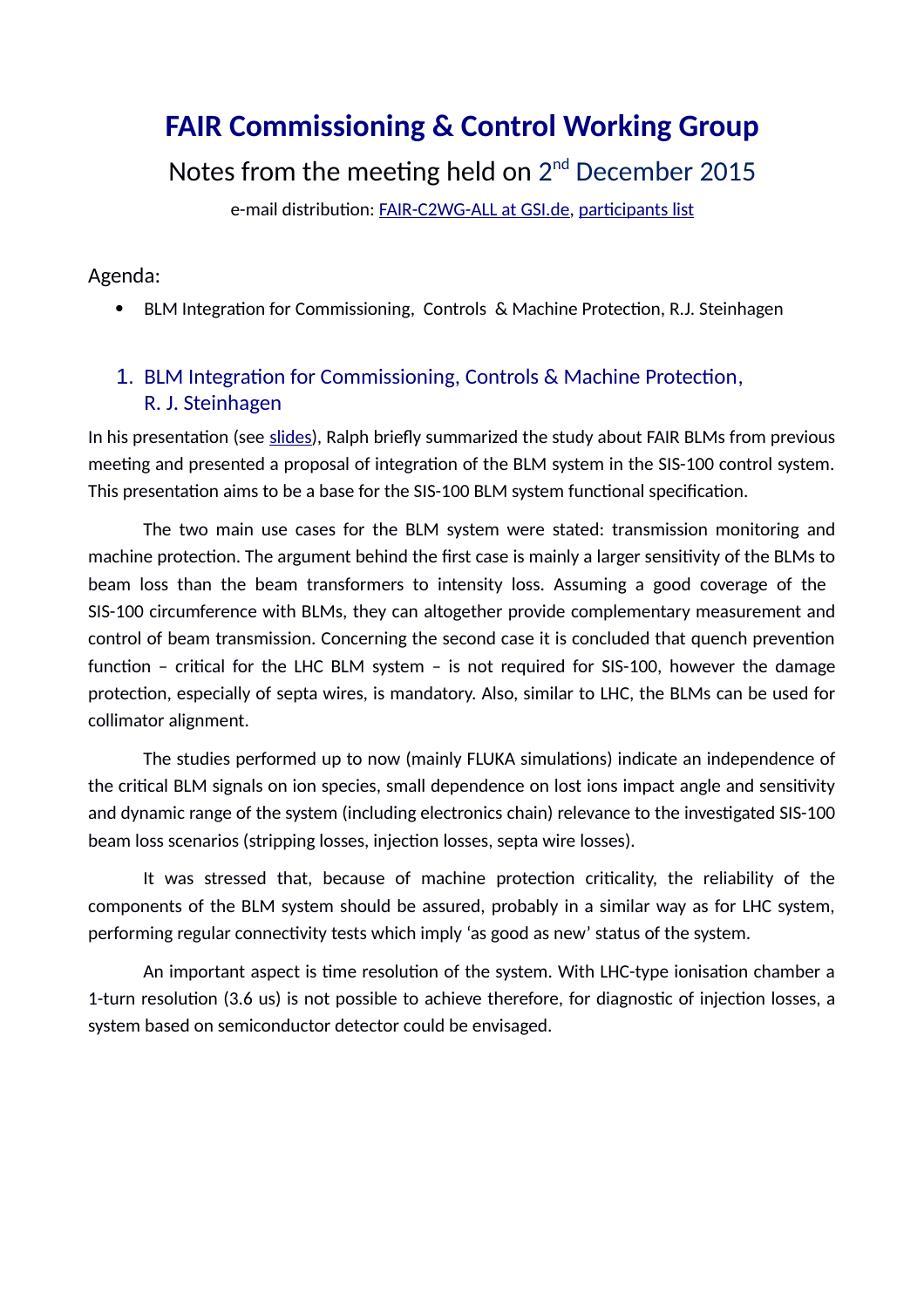# **FAIR Commissioning & Control Working Group**

Notes from the meeting held on  $2^{nd}$  December 2015

e-mail distribution: [FAIR-C2WG-ALL at GSI.de,](mailto:FAIR-C2WG-ALL%20(at)%20GSI%20(punkt)%20de) [participants list](https://fair-wiki.gsi.de/foswiki/pub/FC2WG/FairC2WGMinutes/20151202_FC2WG_AttendanceList.pdf)

#### Agenda:

BLM Integration for Commissioning, Controls & Machine Protection, R.J. Steinhagen

# 1. BLM Integration for Commissioning, Controls & Machine Protection, R. J. Steinhagen

In his presentation (see [slides\)](https://fair-wiki.gsi.de/foswiki/pub/FC2WG/FairC2WGMinutes/20151202_BLM_MP_Integration.pdf), Ralph briefly summarized the study about FAIR BLMs from previous meeting and presented a proposal of integration of the BLM system in the SIS-100 control system. This presentation aims to be a base for the SIS-100 BLM system functional specification.

The two main use cases for the BLM system were stated: transmission monitoring and machine protection. The argument behind the first case is mainly a larger sensitivity of the BLMs to beam loss than the beam transformers to intensity loss. Assuming a good coverage of the SIS-100 circumference with BLMs, they can altogether provide complementary measurement and control of beam transmission. Concerning the second case it is concluded that quench prevention function – critical for the LHC BLM system – is not required for SIS-100, however the damage protection, especially of septa wires, is mandatory. Also, similar to LHC, the BLMs can be used for collimator alignment.

The studies performed up to now (mainly FLUKA simulations) indicate an independence of the critical BLM signals on ion species, small dependence on lost ions impact angle and sensitivity and dynamic range of the system (including electronics chain) relevance to the investigated SIS-100 beam loss scenarios (stripping losses, injection losses, septa wire losses).

It was stressed that, because of machine protection criticality, the reliability of the components of the BLM system should be assured, probably in a similar way as for LHC system, performing regular connectivity tests which imply 'as good as new' status of the system.

An important aspect is time resolution of the system. With LHC-type ionisation chamber a 1-turn resolution (3.6 us) is not possible to achieve therefore, for diagnostic of injection losses, a system based on semiconductor detector could be envisaged.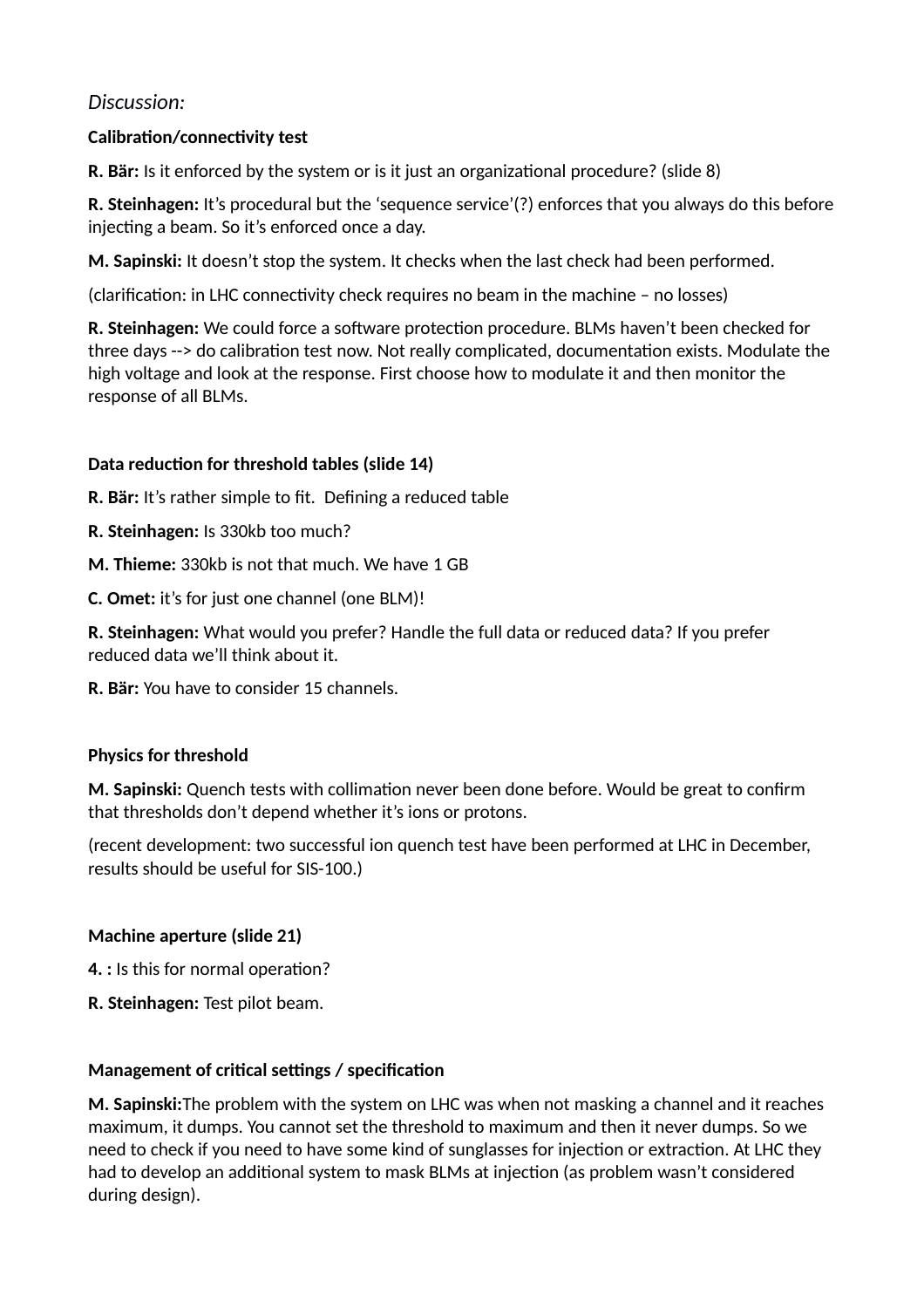# *Discussion:*

# **Calibration/connectivity test**

**R. Bär:** Is it enforced by the system or is it just an organizational procedure? (slide 8)

**R. Steinhagen:** It's procedural but the 'sequence service'(?) enforces that you always do this before injecting a beam. So it's enforced once a day.

**M. Sapinski:** It doesn't stop the system. It checks when the last check had been performed.

(clarification: in LHC connectivity check requires no beam in the machine – no losses)

**R. Steinhagen:** We could force a software protection procedure. BLMs haven't been checked for three days --> do calibration test now. Not really complicated, documentation exists. Modulate the high voltage and look at the response. First choose how to modulate it and then monitor the response of all BLMs.

### **Data reduction for threshold tables (slide 14)**

**R. Bär:** It's rather simple to fit. Defining a reduced table

- **R. Steinhagen:** Is 330kb too much?
- **M. Thieme:** 330kb is not that much. We have 1 GB

**C. Omet:** it's for just one channel (one BLM)!

**R. Steinhagen:** What would you prefer? Handle the full data or reduced data? If you prefer reduced data we'll think about it.

**R. Bär:** You have to consider 15 channels.

#### **Physics for threshold**

**M. Sapinski:** Quench tests with collimation never been done before. Would be great to confirm that thresholds don't depend whether it's ions or protons.

(recent development: two successful ion quench test have been performed at LHC in December, results should be useful for SIS-100.)

#### **Machine aperture (slide 21)**

**4. :** Is this for normal operation?

**R. Steinhagen:** Test pilot beam.

# **Management of critical settings / specification**

**M. Sapinski:**The problem with the system on LHC was when not masking a channel and it reaches maximum, it dumps. You cannot set the threshold to maximum and then it never dumps. So we need to check if you need to have some kind of sunglasses for injection or extraction. At LHC they had to develop an additional system to mask BLMs at injection (as problem wasn't considered during design).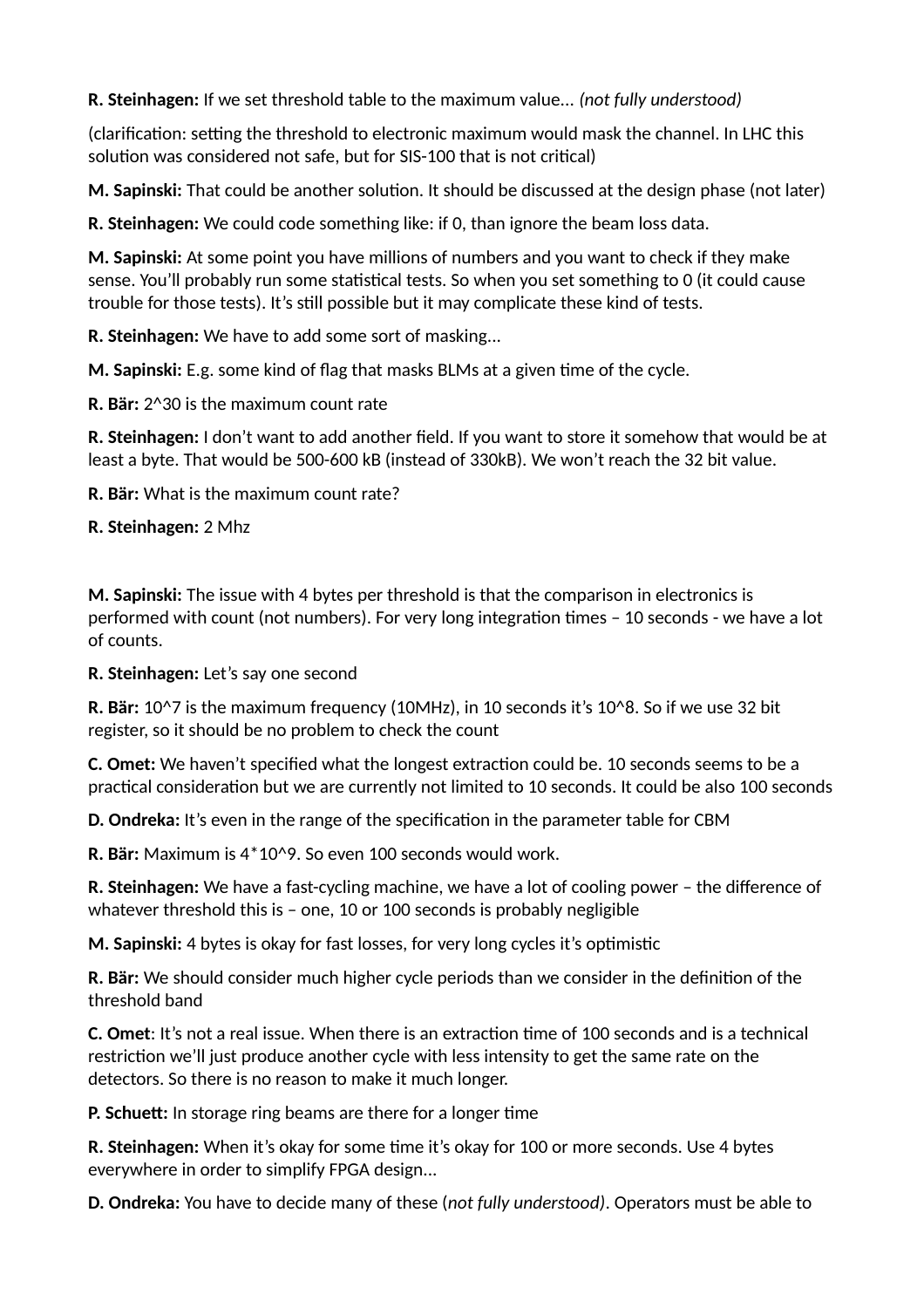**R. Steinhagen:** If we set threshold table to the maximum value... *(not fully understood)*

(clarification: setting the threshold to electronic maximum would mask the channel. In LHC this solution was considered not safe, but for SIS-100 that is not critical)

**M. Sapinski:** That could be another solution. It should be discussed at the design phase (not later)

**R. Steinhagen:** We could code something like: if 0, than ignore the beam loss data.

**M. Sapinski:** At some point you have millions of numbers and you want to check if they make sense. You'll probably run some statistical tests. So when you set something to 0 (it could cause trouble for those tests). It's still possible but it may complicate these kind of tests.

**R. Steinhagen:** We have to add some sort of masking...

**M. Sapinski:** E.g. some kind of flag that masks BLMs at a given time of the cycle.

**R. Bär:** 2^30 is the maximum count rate

**R. Steinhagen:** I don't want to add another field. If you want to store it somehow that would be at least a byte. That would be 500-600 kB (instead of 330kB). We won't reach the 32 bit value.

**R. Bär:** What is the maximum count rate?

**R. Steinhagen:** 2 Mhz

**M. Sapinski:** The issue with 4 bytes per threshold is that the comparison in electronics is performed with count (not numbers). For very long integration times – 10 seconds - we have a lot of counts.

**R. Steinhagen:** Let's say one second

**R. Bär:** 10^7 is the maximum frequency (10MHz), in 10 seconds it's 10^8. So if we use 32 bit register, so it should be no problem to check the count

**C. Omet:** We haven't specified what the longest extraction could be. 10 seconds seems to be a practical consideration but we are currently not limited to 10 seconds. It could be also 100 seconds

**D. Ondreka:** It's even in the range of the specification in the parameter table for CBM

**R. Bär:** Maximum is 4\*10^9. So even 100 seconds would work.

**R. Steinhagen:** We have a fast-cycling machine, we have a lot of cooling power – the difference of whatever threshold this is – one, 10 or 100 seconds is probably negligible

**M. Sapinski:** 4 bytes is okay for fast losses, for very long cycles it's optimistic

**R. Bär:** We should consider much higher cycle periods than we consider in the definition of the threshold band

**C. Omet**: It's not a real issue. When there is an extraction time of 100 seconds and is a technical restriction we'll just produce another cycle with less intensity to get the same rate on the detectors. So there is no reason to make it much longer.

**P. Schuett:** In storage ring beams are there for a longer time

**R. Steinhagen:** When it's okay for some time it's okay for 100 or more seconds. Use 4 bytes everywhere in order to simplify FPGA design...

**D. Ondreka:** You have to decide many of these (*not fully understood)*. Operators must be able to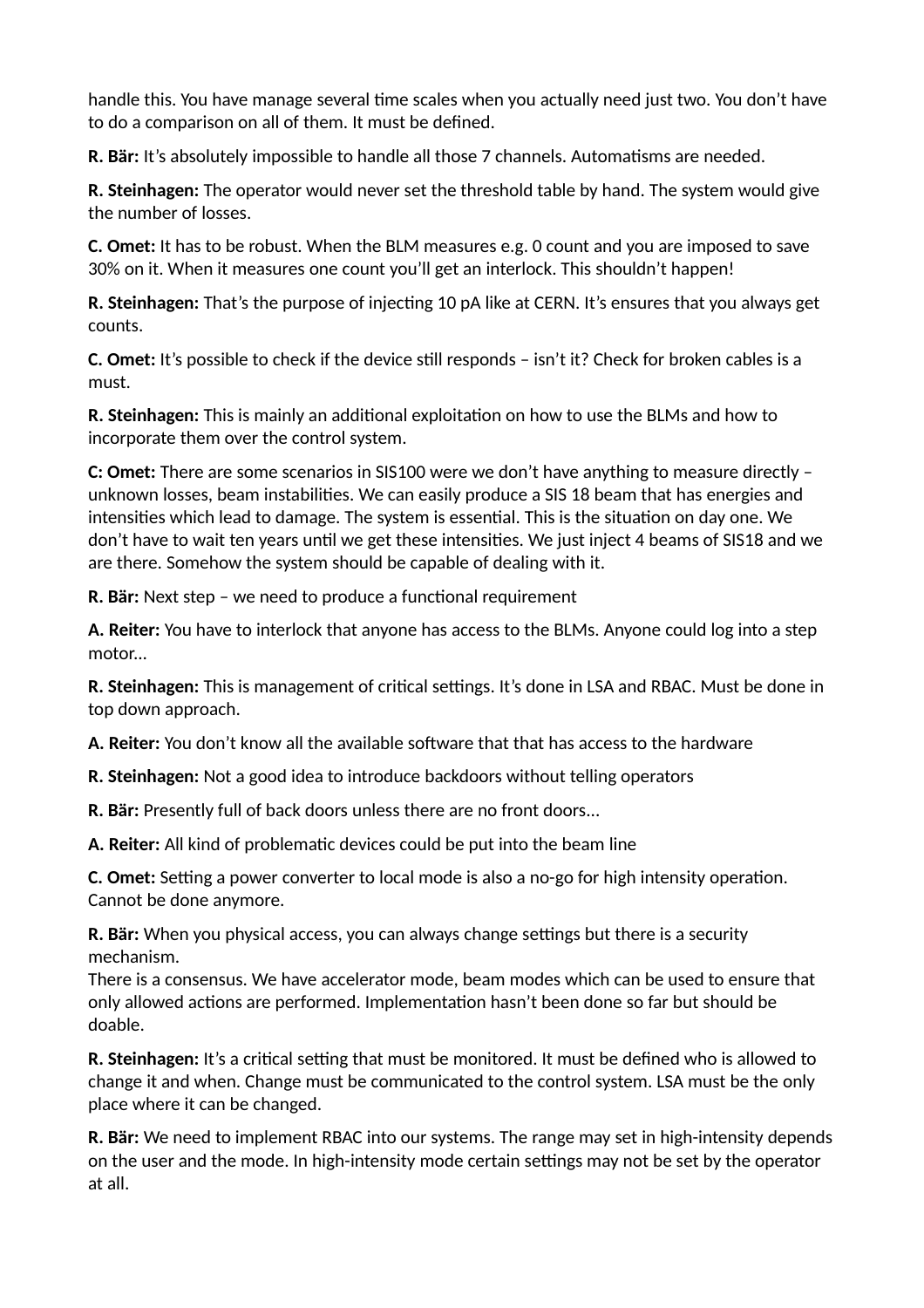handle this. You have manage several time scales when you actually need just two. You don't have to do a comparison on all of them. It must be defined.

**R. Bär:** It's absolutely impossible to handle all those 7 channels. Automatisms are needed.

**R. Steinhagen:** The operator would never set the threshold table by hand. The system would give the number of losses.

**C. Omet:** It has to be robust. When the BLM measures e.g. 0 count and you are imposed to save 30% on it. When it measures one count you'll get an interlock. This shouldn't happen!

**R. Steinhagen:** That's the purpose of injecting 10 pA like at CERN. It's ensures that you always get counts.

**C. Omet:** It's possible to check if the device still responds – isn't it? Check for broken cables is a must.

**R. Steinhagen:** This is mainly an additional exploitation on how to use the BLMs and how to incorporate them over the control system.

**C: Omet:** There are some scenarios in SIS100 were we don't have anything to measure directly – unknown losses, beam instabilities. We can easily produce a SIS 18 beam that has energies and intensities which lead to damage. The system is essential. This is the situation on day one. We don't have to wait ten years until we get these intensities. We just inject 4 beams of SIS18 and we are there. Somehow the system should be capable of dealing with it.

**R. Bär:** Next step – we need to produce a functional requirement

**A. Reiter:** You have to interlock that anyone has access to the BLMs. Anyone could log into a step motor...

**R. Steinhagen:** This is management of critical settings. It's done in LSA and RBAC. Must be done in top down approach.

**A. Reiter:** You don't know all the available software that that has access to the hardware

**R. Steinhagen:** Not a good idea to introduce backdoors without telling operators

**R. Bär:** Presently full of back doors unless there are no front doors...

**A. Reiter:** All kind of problematic devices could be put into the beam line

**C. Omet:** Setting a power converter to local mode is also a no-go for high intensity operation. Cannot be done anymore.

**R. Bär:** When you physical access, you can always change settings but there is a security mechanism.

There is a consensus. We have accelerator mode, beam modes which can be used to ensure that only allowed actions are performed. Implementation hasn't been done so far but should be doable.

**R. Steinhagen:** It's a critical setting that must be monitored. It must be defined who is allowed to change it and when. Change must be communicated to the control system. LSA must be the only place where it can be changed.

**R. Bär:** We need to implement RBAC into our systems. The range may set in high-intensity depends on the user and the mode. In high-intensity mode certain settings may not be set by the operator at all.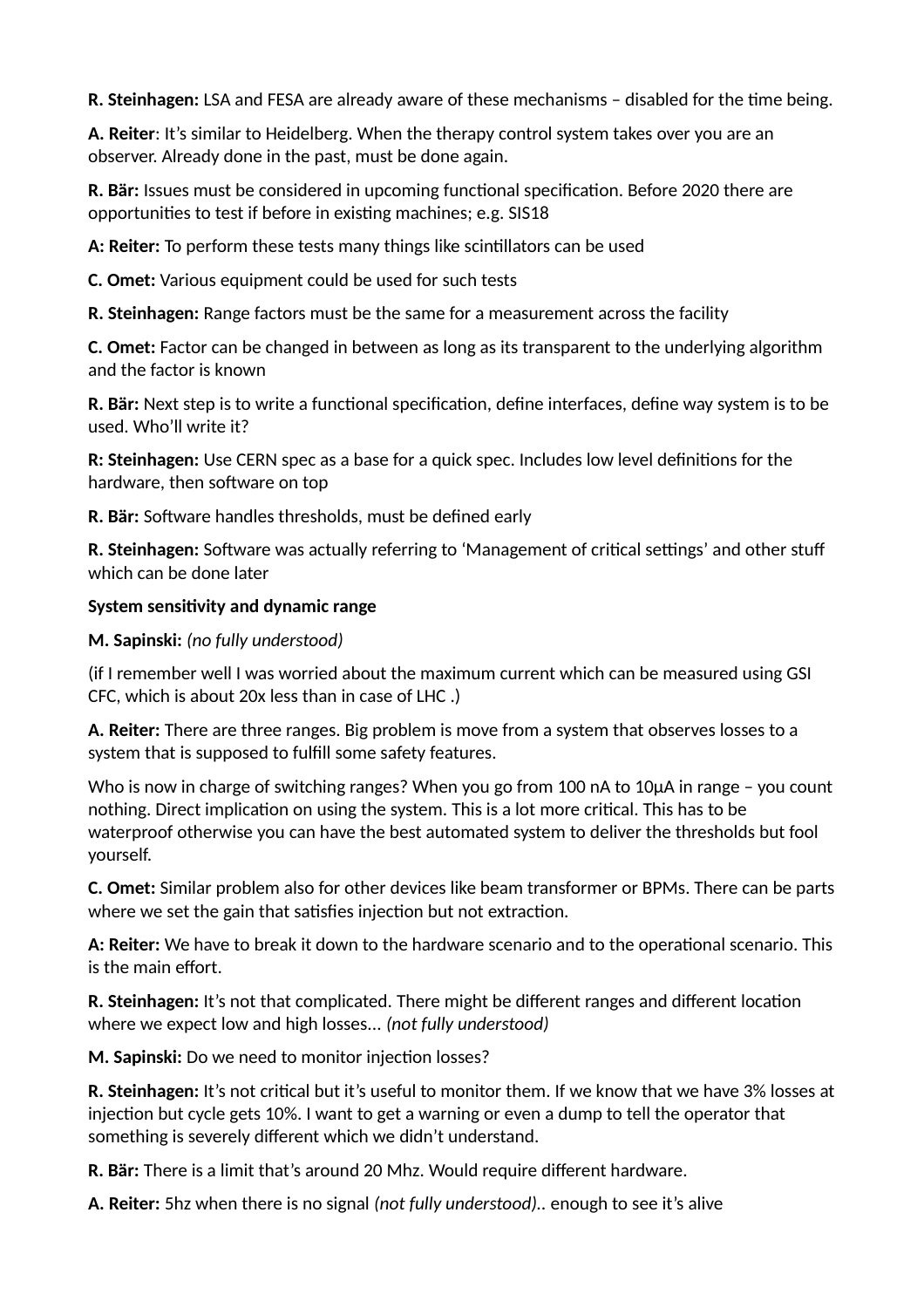**R. Steinhagen:** LSA and FESA are already aware of these mechanisms – disabled for the time being.

**A. Reiter**: It's similar to Heidelberg. When the therapy control system takes over you are an observer. Already done in the past, must be done again.

**R. Bär:** Issues must be considered in upcoming functional specification. Before 2020 there are opportunities to test if before in existing machines; e.g. SIS18

**A: Reiter:** To perform these tests many things like scintillators can be used

**C. Omet:** Various equipment could be used for such tests

**R. Steinhagen:** Range factors must be the same for a measurement across the facility

**C. Omet:** Factor can be changed in between as long as its transparent to the underlying algorithm and the factor is known

**R. Bär:** Next step is to write a functional specification, define interfaces, define way system is to be used. Who'll write it?

**R: Steinhagen:** Use CERN spec as a base for a quick spec. Includes low level definitions for the hardware, then software on top

**R. Bär:** Software handles thresholds, must be defined early

**R. Steinhagen:** Software was actually referring to 'Management of critical settings' and other stuff which can be done later

#### **System sensitivity and dynamic range**

#### **M. Sapinski:** *(no fully understood)*

(if I remember well I was worried about the maximum current which can be measured using GSI CFC, which is about 20x less than in case of LHC .)

**A. Reiter:** There are three ranges. Big problem is move from a system that observes losses to a system that is supposed to fulfill some safety features.

Who is now in charge of switching ranges? When you go from 100 nA to 10µA in range – you count nothing. Direct implication on using the system. This is a lot more critical. This has to be waterproof otherwise you can have the best automated system to deliver the thresholds but fool yourself.

**C. Omet:** Similar problem also for other devices like beam transformer or BPMs. There can be parts where we set the gain that satisfies injection but not extraction.

**A: Reiter:** We have to break it down to the hardware scenario and to the operational scenario. This is the main effort.

**R. Steinhagen:** It's not that complicated. There might be different ranges and different location where we expect low and high losses... *(not fully understood)*

**M. Sapinski:** Do we need to monitor injection losses?

**R. Steinhagen:** It's not critical but it's useful to monitor them. If we know that we have 3% losses at injection but cycle gets 10%. I want to get a warning or even a dump to tell the operator that something is severely different which we didn't understand.

**R. Bär:** There is a limit that's around 20 Mhz. Would require different hardware.

**A. Reiter:** 5hz when there is no signal *(not fully understood)..* enough to see it's alive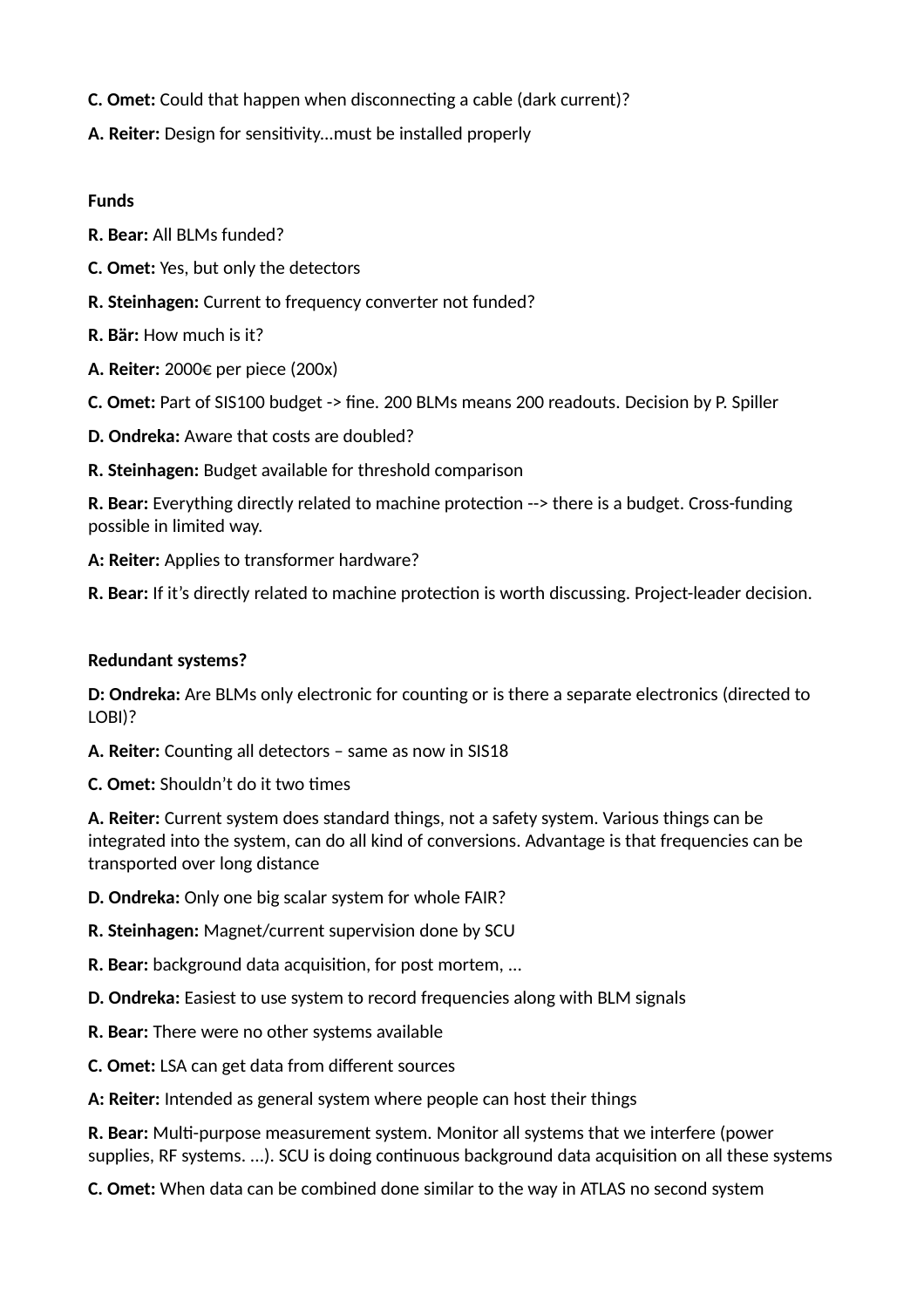- **C. Omet:** Could that happen when disconnecting a cable (dark current)?
- **A. Reiter:** Design for sensitivity...must be installed properly

#### **Funds**

- **R. Bear:** All BLMs funded?
- **C. Omet:** Yes, but only the detectors
- **R. Steinhagen:** Current to frequency converter not funded?
- **R. Bär:** How much is it?
- **A. Reiter:** 2000€ per piece (200x)
- **C. Omet:** Part of SIS100 budget -> fine. 200 BLMs means 200 readouts. Decision by P. Spiller
- **D. Ondreka:** Aware that costs are doubled?
- **R. Steinhagen:** Budget available for threshold comparison

**R. Bear:** Everything directly related to machine protection --> there is a budget. Cross-funding possible in limited way.

**A: Reiter:** Applies to transformer hardware?

**R. Bear:** If it's directly related to machine protection is worth discussing. Project-leader decision.

# **Redundant systems?**

**D: Ondreka:** Are BLMs only electronic for counting or is there a separate electronics (directed to LOBI)?

**A. Reiter:** Counting all detectors – same as now in SIS18

**C. Omet:** Shouldn't do it two times

**A. Reiter:** Current system does standard things, not a safety system. Various things can be integrated into the system, can do all kind of conversions. Advantage is that frequencies can be transported over long distance

- **D. Ondreka:** Only one big scalar system for whole FAIR?
- **R. Steinhagen:** Magnet/current supervision done by SCU
- **R. Bear:** background data acquisition, for post mortem, ...
- **D. Ondreka:** Easiest to use system to record frequencies along with BLM signals
- **R. Bear:** There were no other systems available
- **C. Omet:** LSA can get data from different sources
- **A: Reiter:** Intended as general system where people can host their things

**R. Bear:** Multi-purpose measurement system. Monitor all systems that we interfere (power supplies, RF systems. ...). SCU is doing continuous background data acquisition on all these systems

**C. Omet:** When data can be combined done similar to the way in ATLAS no second system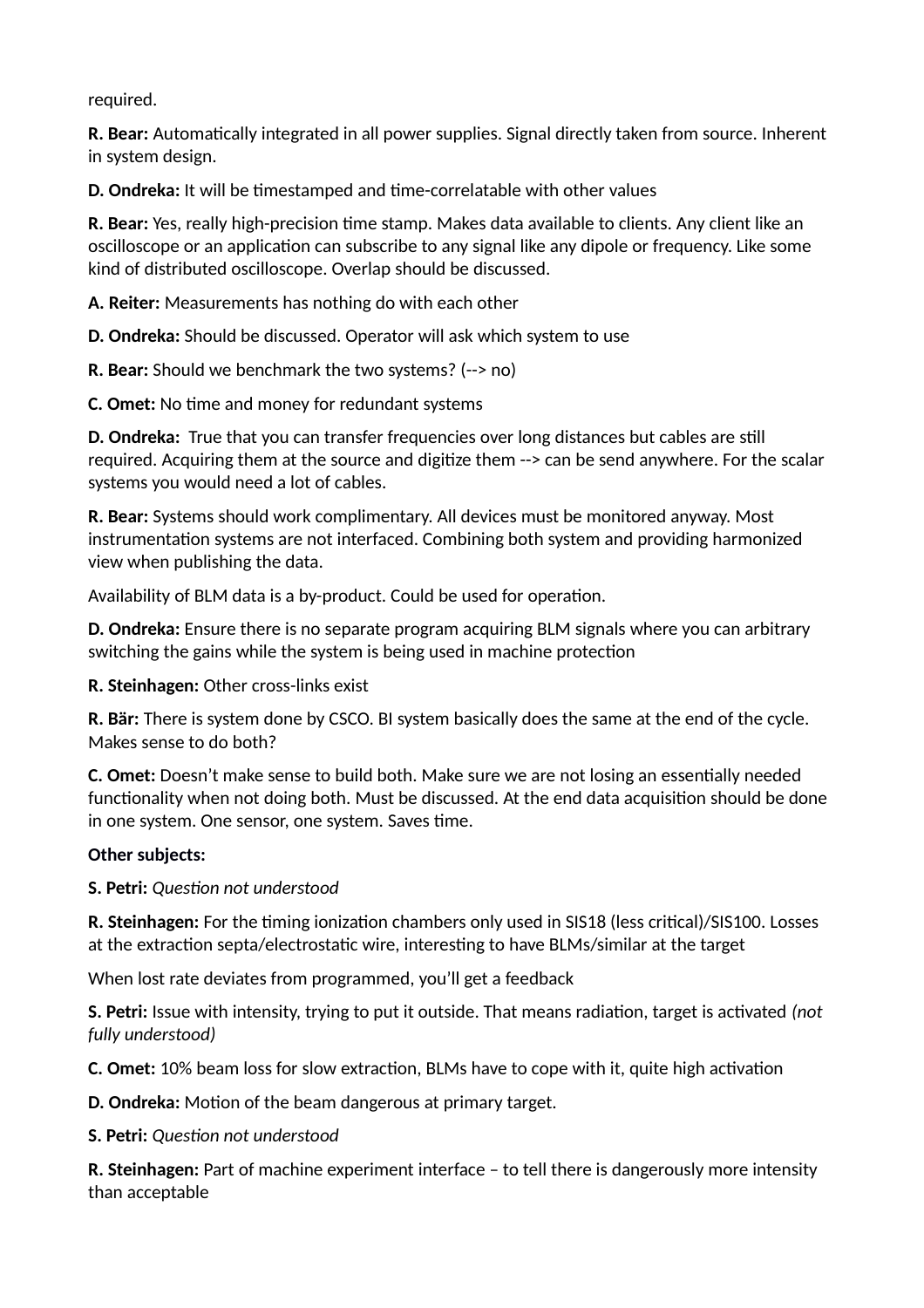required.

**R. Bear:** Automatically integrated in all power supplies. Signal directly taken from source. Inherent in system design.

**D. Ondreka:** It will be timestamped and time-correlatable with other values

**R. Bear:** Yes, really high-precision time stamp. Makes data available to clients. Any client like an oscilloscope or an application can subscribe to any signal like any dipole or frequency. Like some kind of distributed oscilloscope. Overlap should be discussed.

**A. Reiter:** Measurements has nothing do with each other

**D. Ondreka:** Should be discussed. Operator will ask which system to use

**R. Bear:** Should we benchmark the two systems? (--> no)

**C. Omet:** No time and money for redundant systems

**D. Ondreka:** True that you can transfer frequencies over long distances but cables are still required. Acquiring them at the source and digitize them --> can be send anywhere. For the scalar systems you would need a lot of cables.

**R. Bear:** Systems should work complimentary. All devices must be monitored anyway. Most instrumentation systems are not interfaced. Combining both system and providing harmonized view when publishing the data.

Availability of BLM data is a by-product. Could be used for operation.

**D. Ondreka:** Ensure there is no separate program acquiring BLM signals where you can arbitrary switching the gains while the system is being used in machine protection

**R. Steinhagen:** Other cross-links exist

**R. Bär:** There is system done by CSCO. BI system basically does the same at the end of the cycle. Makes sense to do both?

**C. Omet:** Doesn't make sense to build both. Make sure we are not losing an essentially needed functionality when not doing both. Must be discussed. At the end data acquisition should be done in one system. One sensor, one system. Saves time.

#### **Other subjects:**

**S. Petri:** *Question not understood*

**R. Steinhagen:** For the timing ionization chambers only used in SIS18 (less critical)/SIS100. Losses at the extraction septa/electrostatic wire, interesting to have BLMs/similar at the target

When lost rate deviates from programmed, you'll get a feedback

**S. Petri:** Issue with intensity, trying to put it outside. That means radiation, target is activated *(not fully understood)*

**C. Omet:** 10% beam loss for slow extraction, BLMs have to cope with it, quite high activation

**D. Ondreka:** Motion of the beam dangerous at primary target.

**S. Petri:** *Question not understood*

**R. Steinhagen:** Part of machine experiment interface – to tell there is dangerously more intensity than acceptable